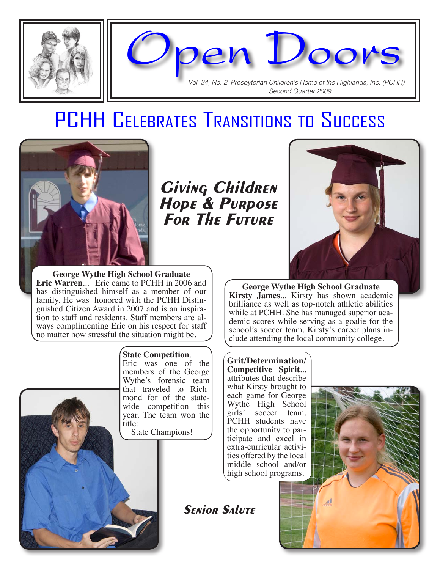



Vol. 34, No. 2 Presbyterian Children's Home of the Highlands, Inc. (PCHH) Second Quarter 2009

# PCHH Celebrates Transitions to Success



Giving Children Hope & Purpose For The Future

**George Wythe High School Graduate Eric Warren**... Eric came to PCHH in 2006 and has distinguished himself as a member of our family. He was honored with the PCHH Distinguished Citizen Award in 2007 and is an inspiration to staff and residents. Staff members are always complimenting Eric on his respect for staff no matter how stressful the situation might be.

**State Competition**... Eric was one of the members of the George Wythe's forensic team<br>that traveled to Richmond for of the statewide competition this year. The team won the title:

State Champions!



**George Wythe High School Graduate Kirsty James**... Kirsty has shown academic brilliance as well as top-notch athletic abilities while at PCHH. She has managed superior academic scores while serving as a goalie for the school's soccer team. Kirsty's career plans include attending the local community college.

**Grit/Determination/ Competitive Spirit**... attributes that describe what Kirsty brought to each game for George Wythe High School girls' soccer team. PCHH students have the opportunity to par- ticipate and excel in extra-curricular activities offered by the local middle school and/or high school programs.



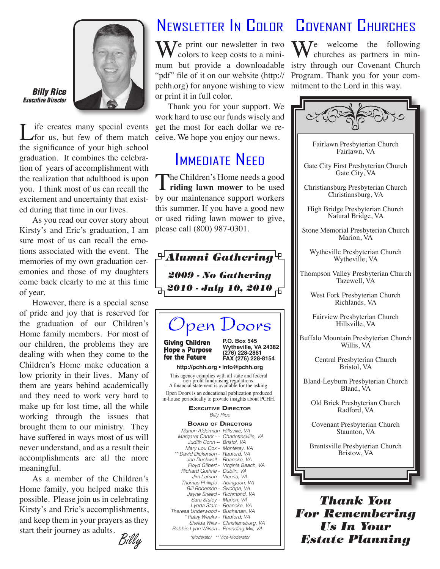

### Billy Rice Executive Director

ife creates many special events for us, but few of them match the significance of your high school graduation. It combines the celebration of years of accomplishment with the realization that adulthood is upon you. I think most of us can recall the excitement and uncertainty that existed during that time in our lives.

As you read our cover story about Kirsty's and Eric's graduation, I am sure most of us can recall the emotions associated with the event. The memories of my own graduation ceremonies and those of my daughters come back clearly to me at this time of year.

However, there is a special sense of pride and joy that is reserved for the graduation of our Children's Home family members. For most of our children, the problems they are dealing with when they come to the Children's Home make education a low priority in their lives. Many of them are years behind academically and they need to work very hard to make up for lost time, all the while working through the issues that brought them to our ministry. They have suffered in ways most of us will never understand, and as a result their accomplishments are all the more meaningful.

As a member of the Children's Home family, you helped make this possible. Please join us in celebrating Kirsty's and Eric's accomplishments, and keep them in your prayers as they start their journey as adults.



# Newsletter In Color Covenant Churches

colors to keep costs to a mini-"pdf" file of it on our website (http:// pchh.org) for anyone wishing to view or print it in full color.

Thank you for your support. We work hard to use our funds wisely and get the most for each dollar we receive. We hope you enjoy our news.

### IMMEDIATE NEED

The Children's Home needs a good *<u><b>L* riding lawn mower to be used</u> by our maintenance support workers this summer. If you have a good new or used riding lawn mower to give, please call (800) 987-0301.



\*Moderator \*\* Vice-Moderator

Bobbie Lynn Wilson - Pounding Mill, VA

Richard Guthrie - Dublin, VA Jim Larson - Vienna, VA Thomas Phillips - Abingdon, VA Bill Roberson - Swoope, VA Jayne Sneed - Richmond, VA Sara Staley - Marion, VA Lynda Starr - Roanoke, VA Theresa Underwood - Buchanan, VA \* Patsy Weeks - Radford, VA

 $\mathbf{W}^{\text{e}}$  print our newsletter in two  $\mathbf{W}^{\text{e}}$  welcome the following colors to keep costs to a minichurches as partners in minmum but provide a downloadable istry through our Covenant Church Program. Thank you for your commitment to the Lord in this way.



Us In Your Estate Planning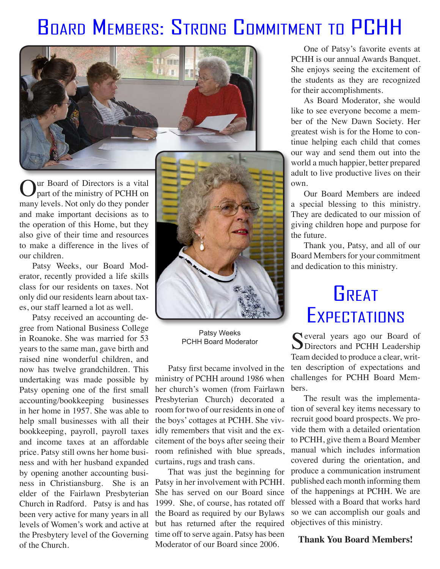## Board Members: Strong Commitment to PCHH



Our Board of Directors is a vital<br>part of the ministry of PCHH on many levels. Not only do they ponder and make important decisions as to the operation of this Home, but they also give of their time and resources to make a difference in the lives of our children.

Patsy Weeks, our Board Moderator, recently provided a life skills class for our residents on taxes. Not only did our residents learn about taxes, our staff learned a lot as well.

Patsy received an accounting degree from National Business College in Roanoke. She was married for 53 years to the same man, gave birth and raised nine wonderful children, and now has twelve grandchildren. This undertaking was made possible by Patsy opening one of the first small accounting/bookkeeping businesses in her home in 1957. She was able to help small businesses with all their bookkeeping, payroll, payroll taxes and income taxes at an affordable price. Patsy still owns her home business and with her husband expanded by opening another accounting business in Christiansburg. She is an elder of the Fairlawn Presbyterian Church in Radford. Patsy is and has been very active for many years in all levels of Women's work and active at the Presbytery level of the Governing of the Church.



Patsy Weeks PCHH Board Moderator

Patsy first became involved in the ministry of PCHH around 1986 when her church's women (from Fairlawn Presbyterian Church) decorated a room for two of our residents in one of the boys' cottages at PCHH. She vividly remembers that visit and the excitement of the boys after seeing their room refinished with blue spreads, curtains, rugs and trash cans.

That was just the beginning for Patsy in her involvement with PCHH. She has served on our Board since 1999. She, of course, has rotated off the Board as required by our Bylaws but has returned after the required time off to serve again. Patsy has been Moderator of our Board since 2006.

One of Patsy's favorite events at PCHH is our annual Awards Banquet. She enjoys seeing the excitement of the students as they are recognized for their accomplishments.

As Board Moderator, she would like to see everyone become a member of the New Dawn Society. Her greatest wish is for the Home to continue helping each child that comes our way and send them out into the world a much happier, better prepared adult to live productive lives on their own.

Our Board Members are indeed a special blessing to this ministry. They are dedicated to our mission of giving children hope and purpose for the future.

Thank you, Patsy, and all of our Board Members for your commitment and dedication to this ministry.

### **GREAT EXPECTATIONS**

Several years ago our Board of Directors and PCHH Leadership Team decided to produce a clear, written description of expectations and challenges for PCHH Board Members.

The result was the implementation of several key items necessary to recruit good board prospects. We provide them with a detailed orientation to PCHH, give them a Board Member manual which includes information covered during the orientation, and produce a communication instrument published each month informing them of the happenings at PCHH. We are blessed with a Board that works hard so we can accomplish our goals and objectives of this ministry.

### **Thank You Board Members!**